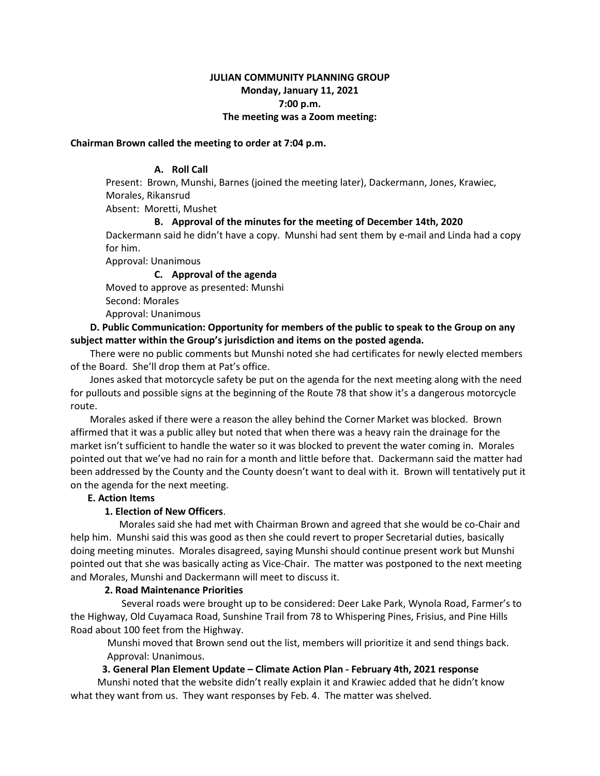# **JULIAN COMMUNITY PLANNING GROUP Monday, January 11, 2021 7:00 p.m. The meeting was a Zoom meeting:**

#### **Chairman Brown called the meeting to order at 7:04 p.m.**

## **A. Roll Call**

Present: Brown, Munshi, Barnes (joined the meeting later), Dackermann, Jones, Krawiec, Morales, Rikansrud

Absent: Moretti, Mushet

#### **B. Approval of the minutes for the meeting of December 14th, 2020**

Dackermann said he didn't have a copy. Munshi had sent them by e-mail and Linda had a copy for him.

Approval: Unanimous

# **C. Approval of the agenda**

Moved to approve as presented: Munshi

Second: Morales

Approval: Unanimous

## **D. Public Communication: Opportunity for members of the public to speak to the Group on any subject matter within the Group's jurisdiction and items on the posted agenda.**

 There were no public comments but Munshi noted she had certificates for newly elected members of the Board. She'll drop them at Pat's office.

 Jones asked that motorcycle safety be put on the agenda for the next meeting along with the need for pullouts and possible signs at the beginning of the Route 78 that show it's a dangerous motorcycle route.

 Morales asked if there were a reason the alley behind the Corner Market was blocked. Brown affirmed that it was a public alley but noted that when there was a heavy rain the drainage for the market isn't sufficient to handle the water so it was blocked to prevent the water coming in. Morales pointed out that we've had no rain for a month and little before that. Dackermann said the matter had been addressed by the County and the County doesn't want to deal with it. Brown will tentatively put it on the agenda for the next meeting.

## **E. Action Items**

## **1. Election of New Officers**.

 Morales said she had met with Chairman Brown and agreed that she would be co-Chair and help him. Munshi said this was good as then she could revert to proper Secretarial duties, basically doing meeting minutes. Morales disagreed, saying Munshi should continue present work but Munshi pointed out that she was basically acting as Vice-Chair. The matter was postponed to the next meeting and Morales, Munshi and Dackermann will meet to discuss it.

#### **2. Road Maintenance Priorities**

 Several roads were brought up to be considered: Deer Lake Park, Wynola Road, Farmer's to the Highway, Old Cuyamaca Road, Sunshine Trail from 78 to Whispering Pines, Frisius, and Pine Hills Road about 100 feet from the Highway.

Munshi moved that Brown send out the list, members will prioritize it and send things back. Approval: Unanimous.

# **3. General Plan Element Update – Climate Action Plan - February 4th, 2021 response**

 Munshi noted that the website didn't really explain it and Krawiec added that he didn't know what they want from us. They want responses by Feb. 4. The matter was shelved.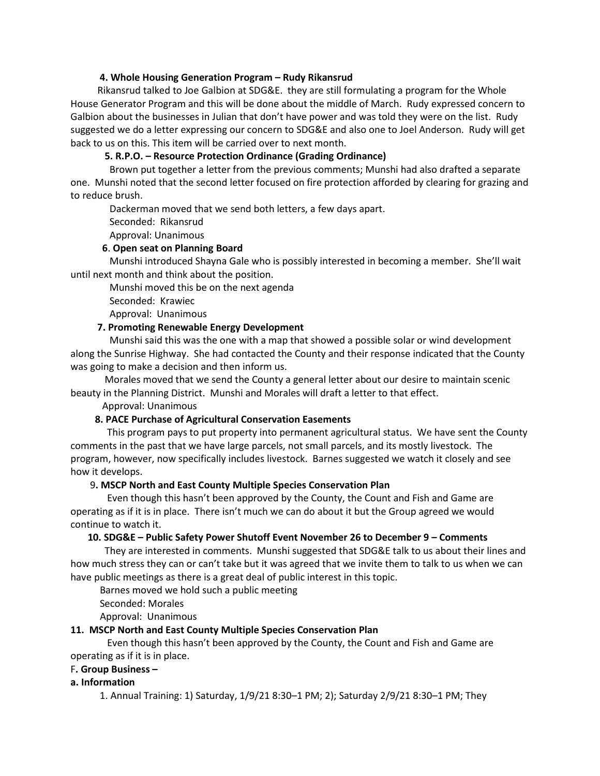## **4. Whole Housing Generation Program – Rudy Rikansrud**

 Rikansrud talked to Joe Galbion at SDG&E. they are still formulating a program for the Whole House Generator Program and this will be done about the middle of March. Rudy expressed concern to Galbion about the businesses in Julian that don't have power and was told they were on the list. Rudy suggested we do a letter expressing our concern to SDG&E and also one to Joel Anderson. Rudy will get back to us on this. This item will be carried over to next month.

# **5. R.P.O. – Resource Protection Ordinance (Grading Ordinance)**

 Brown put together a letter from the previous comments; Munshi had also drafted a separate one. Munshi noted that the second letter focused on fire protection afforded by clearing for grazing and to reduce brush.

Dackerman moved that we send both letters, a few days apart.

Seconded: Rikansrud

Approval: Unanimous

## **6**. **Open seat on Planning Board**

 Munshi introduced Shayna Gale who is possibly interested in becoming a member. She'll wait until next month and think about the position.

Munshi moved this be on the next agenda

Seconded: Krawiec

Approval: Unanimous

## **7. Promoting Renewable Energy Development**

 Munshi said this was the one with a map that showed a possible solar or wind development along the Sunrise Highway. She had contacted the County and their response indicated that the County was going to make a decision and then inform us.

 Morales moved that we send the County a general letter about our desire to maintain scenic beauty in the Planning District. Munshi and Morales will draft a letter to that effect.

Approval: Unanimous

# **8. PACE Purchase of Agricultural Conservation Easements**

 This program pays to put property into permanent agricultural status. We have sent the County comments in the past that we have large parcels, not small parcels, and its mostly livestock. The program, however, now specifically includes livestock. Barnes suggested we watch it closely and see how it develops.

## 9**. MSCP North and East County Multiple Species Conservation Plan**

 Even though this hasn't been approved by the County, the Count and Fish and Game are operating as if it is in place. There isn't much we can do about it but the Group agreed we would continue to watch it.

## **10. SDG&E – Public Safety Power Shutoff Event November 26 to December 9 – Comments**

 They are interested in comments. Munshi suggested that SDG&E talk to us about their lines and how much stress they can or can't take but it was agreed that we invite them to talk to us when we can have public meetings as there is a great deal of public interest in this topic.

Barnes moved we hold such a public meeting

Seconded: Morales

Approval: Unanimous

# **11. MSCP North and East County Multiple Species Conservation Plan**

 Even though this hasn't been approved by the County, the Count and Fish and Game are operating as if it is in place.

## F**. Group Business –**

**a. Information**

1. Annual Training: 1) Saturday, 1/9/21 8:30–1 PM; 2); Saturday 2/9/21 8:30–1 PM; They